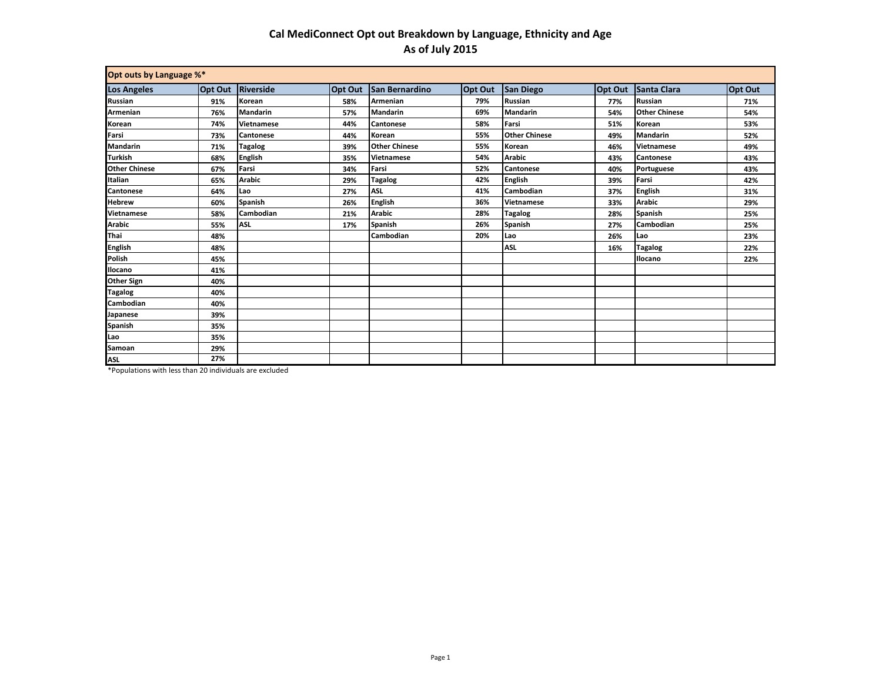## **Cal MediConnect Opt out Breakdown by Language, Ethnicity and Age As of July 2015**

| Opt outs by Language %* |                |                  |                |                      |         |                      |                |                      |                |
|-------------------------|----------------|------------------|----------------|----------------------|---------|----------------------|----------------|----------------------|----------------|
| <b>Los Angeles</b>      | <b>Opt Out</b> | Riverside        | <b>Opt Out</b> | San Bernardino       | Opt Out | San Diego            | <b>Opt Out</b> | Santa Clara          | <b>Opt Out</b> |
| Russian                 | 91%            | Korean           | 58%            | Armenian             | 79%     | <b>Russian</b>       | 77%            | <b>Russian</b>       | 71%            |
| Armenian                | 76%            | <b>Mandarin</b>  | 57%            | <b>Mandarin</b>      | 69%     | <b>Mandarin</b>      | 54%            | <b>Other Chinese</b> | 54%            |
| Korean                  | 74%            | Vietnamese       | 44%            | <b>Cantonese</b>     | 58%     | Farsi                | 51%            | Korean               | 53%            |
| Farsi                   | 73%            | <b>Cantonese</b> | 44%            | Korean               | 55%     | <b>Other Chinese</b> | 49%            | <b>Mandarin</b>      | 52%            |
| <b>Mandarin</b>         | 71%            | Tagalog          | 39%            | <b>Other Chinese</b> | 55%     | Korean               | 46%            | <b>Vietnamese</b>    | 49%            |
| <b>Turkish</b>          | 68%            | <b>English</b>   | 35%            | <b>Vietnamese</b>    | 54%     | <b>Arabic</b>        | 43%            | <b>Cantonese</b>     | 43%            |
| <b>Other Chinese</b>    | 67%            | Farsi            | 34%            | Farsi                | 52%     | <b>Cantonese</b>     | 40%            | Portuguese           | 43%            |
| Italian                 | 65%            | <b>Arabic</b>    | 29%            | <b>Tagalog</b>       | 42%     | <b>English</b>       | 39%            | Farsi                | 42%            |
| Cantonese               | 64%            | Lao              | 27%            | <b>ASL</b>           | 41%     | Cambodian            | 37%            | <b>English</b>       | 31%            |
| <b>Hebrew</b>           | 60%            | <b>Spanish</b>   | 26%            | <b>English</b>       | 36%     | <b>Vietnamese</b>    | 33%            | <b>Arabic</b>        | 29%            |
| Vietnamese              | 58%            | Cambodian        | 21%            | <b>Arabic</b>        | 28%     | <b>Tagalog</b>       | 28%            | Spanish              | 25%            |
| <b>Arabic</b>           | 55%            | <b>ASL</b>       | 17%            | <b>Spanish</b>       | 26%     | Spanish              | 27%            | Cambodian            | 25%            |
| Thai                    | 48%            |                  |                | Cambodian            | 20%     | Lao                  | 26%            | Lao                  | 23%            |
| English                 | 48%            |                  |                |                      |         | <b>ASL</b>           | 16%            | <b>Tagalog</b>       | 22%            |
| Polish                  | 45%            |                  |                |                      |         |                      |                | Ilocano              | 22%            |
| Ilocano                 | 41%            |                  |                |                      |         |                      |                |                      |                |
| Other Sign              | 40%            |                  |                |                      |         |                      |                |                      |                |
| Tagalog                 | 40%            |                  |                |                      |         |                      |                |                      |                |
| Cambodian               | 40%            |                  |                |                      |         |                      |                |                      |                |
| Japanese                | 39%            |                  |                |                      |         |                      |                |                      |                |
| Spanish                 | 35%            |                  |                |                      |         |                      |                |                      |                |
| Lao                     | 35%            |                  |                |                      |         |                      |                |                      |                |
| Samoan                  | 29%            |                  |                |                      |         |                      |                |                      |                |
| <b>ASL</b>              | 27%            |                  |                |                      |         |                      |                |                      |                |

\*Populations with less than 20 individuals are excluded